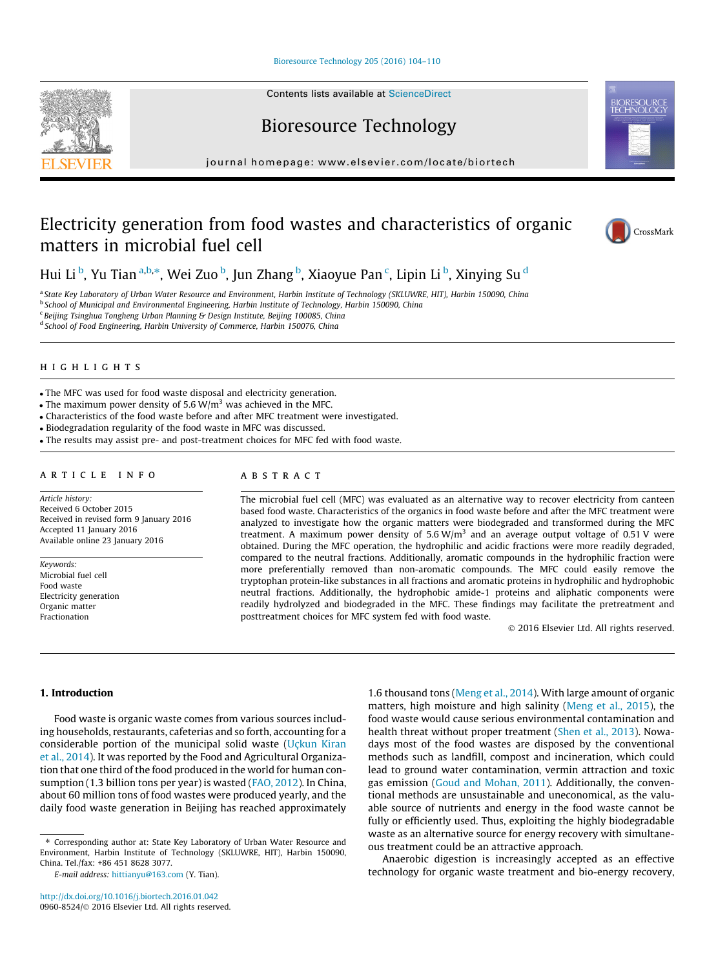### [Bioresource Technology 205 \(2016\) 104–110](http://dx.doi.org/10.1016/j.biortech.2016.01.042)

Bioresource Technology

journal homepage: [www.elsevier.com/locate/biortech](http://www.elsevier.com/locate/biortech)

## Electricity generation from food wastes and characteristics of organic matters in microbial fuel cell



<sup>a</sup> State Key Laboratory of Urban Water Resource and Environment, Harbin Institute of Technology (SKLUWRE, HIT), Harbin 150090, China **b School of Municipal and Environmental Engineering, Harbin Institute of Technology, Harbin 150090, China** 

<sup>c</sup> Beijing Tsinghua Tongheng Urban Planning & Design Institute, Beijing 100085, China

<sup>d</sup> School of Food Engineering, Harbin University of Commerce, Harbin 150076, China

## highlights and the state of the state of

- The MFC was used for food waste disposal and electricity generation.
- The maximum power density of 5.6  $W/m<sup>3</sup>$  was achieved in the MFC.
- Characteristics of the food waste before and after MFC treatment were investigated.
- Biodegradation regularity of the food waste in MFC was discussed.
- The results may assist pre- and post-treatment choices for MFC fed with food waste.

Article history: Received 6 October 2015 Received in revised form 9 January 2016 Accepted 11 January 2016 Available online 23 January 2016

Keywords: Microbial fuel cell Food waste Electricity generation Organic matter Fractionation

The microbial fuel cell (MFC) was evaluated as an alternative way to recover electricity from canteen based food waste. Characteristics of the organics in food waste before and after the MFC treatment were analyzed to investigate how the organic matters were biodegraded and transformed during the MFC treatment. A maximum power density of  $5.6 \text{ W/m}^3$  and an average output voltage of 0.51 V were obtained. During the MFC operation, the hydrophilic and acidic fractions were more readily degraded, compared to the neutral fractions. Additionally, aromatic compounds in the hydrophilic fraction were more preferentially removed than non-aromatic compounds. The MFC could easily remove the tryptophan protein-like substances in all fractions and aromatic proteins in hydrophilic and hydrophobic neutral fractions. Additionally, the hydrophobic amide-1 proteins and aliphatic components were readily hydrolyzed and biodegraded in the MFC. These findings may facilitate the pretreatment and posttreatment choices for MFC system fed with food waste.

2016 Elsevier Ltd. All rights reserved.

### 1. Introduction

Food waste is organic waste comes from various sources including households, restaurants, cafeterias and so forth, accounting for a considerable portion of the municipal solid waste (Uçkun Kiran et al., 2014). It was reported by the Food and Agricultural Organization that one third of the food produced in the world for human consumption (1.3 billion tons per year) is wasted (FAO, 2012). In China, about 60 million tons of food wastes were produced yearly, and the daily food waste generation in Beijing has reached approximately

1.6 thousand tons (Meng et al., 2014). With large amount of organic matters, high moisture and high salinity (Meng et al., 2015), the food waste would cause serious environmental contamination and health threat without proper treatment (Shen et al., 2013). Nowadays most of the food wastes are disposed by the conventional methods such as landfill, compost and incineration, which could lead to ground water contamination, vermin attraction and toxic gas emission (Goud and Mohan, 2011). Additionally, the conventional methods are unsustainable and uneconomical, as the valuable source of nutrients and energy in the food waste cannot be fully or efficiently used. Thus, exploiting the highly biodegradable waste as an alternative source for energy recovery with simultaneous treatment could be an attractive approach.

Anaerobic digestion is increasingly accepted as an effective technology for organic waste treatment and bio-energy recovery,







<sup>⇑</sup> Corresponding author at: State Key Laboratory of Urban Water Resource and Environment, Harbin Institute of Technology (SKLUWRE, HIT), Harbin 150090, China. Tel./fax: +86 451 8628 3077.

E-mail address: [hittianyu@163.com](mailto:hittianyu@163.com) (Y. Tian).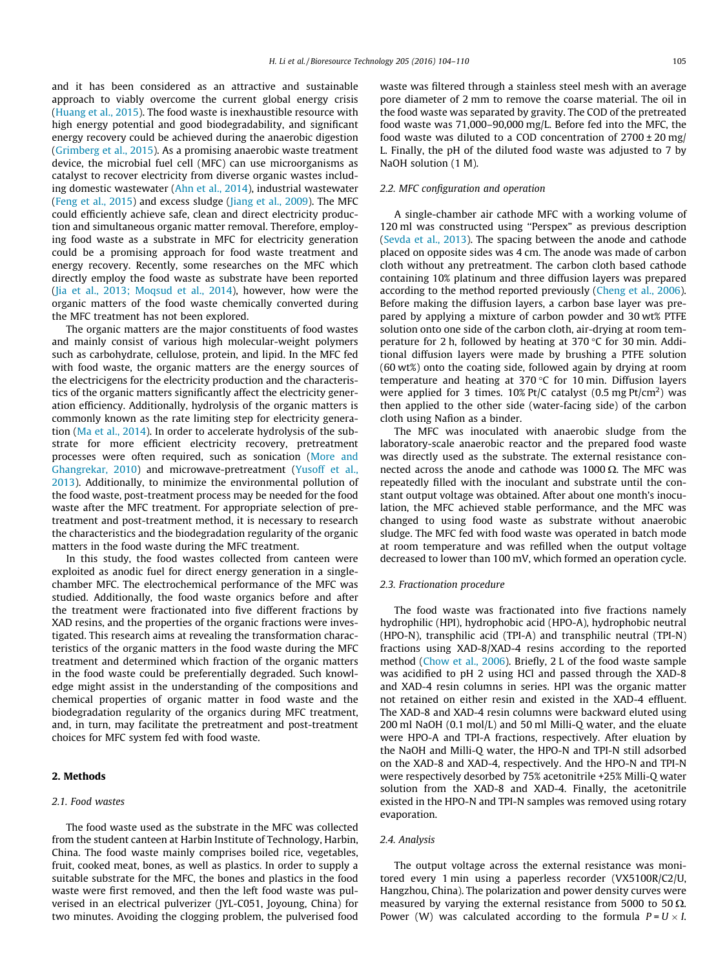and it has been considered as an attractive and sustainable approach to viably overcome the current global energy crisis (Huang et al., 2015). The food waste is inexhaustible resource with high energy potential and good biodegradability, and significant energy recovery could be achieved during the anaerobic digestion (Grimberg et al., 2015). As a promising anaerobic waste treatment device, the microbial fuel cell (MFC) can use microorganisms as catalyst to recover electricity from diverse organic wastes including domestic wastewater (Ahn et al., 2014), industrial wastewater (Feng et al., 2015) and excess sludge (Jiang et al., 2009). The MFC could efficiently achieve safe, clean and direct electricity production and simultaneous organic matter removal. Therefore, employing food waste as a substrate in MFC for electricity generation could be a promising approach for food waste treatment and energy recovery. Recently, some researches on the MFC which directly employ the food waste as substrate have been reported (Jia et al., 2013; Moqsud et al., 2014), however, how were the organic matters of the food waste chemically converted during the MFC treatment has not been explored.

The organic matters are the major constituents of food wastes and mainly consist of various high molecular-weight polymers such as carbohydrate, cellulose, protein, and lipid. In the MFC fed with food waste, the organic matters are the energy sources of the electricigens for the electricity production and the characteristics of the organic matters significantly affect the electricity generation efficiency. Additionally, hydrolysis of the organic matters is commonly known as the rate limiting step for electricity generation (Ma et al., 2014). In order to accelerate hydrolysis of the substrate for more efficient electricity recovery, pretreatment processes were often required, such as sonication (More and Ghangrekar, 2010) and microwave-pretreatment (Yusoff et al., 2013). Additionally, to minimize the environmental pollution of the food waste, post-treatment process may be needed for the food waste after the MFC treatment. For appropriate selection of pretreatment and post-treatment method, it is necessary to research the characteristics and the biodegradation regularity of the organic matters in the food waste during the MFC treatment.

In this study, the food wastes collected from canteen were exploited as anodic fuel for direct energy generation in a singlechamber MFC. The electrochemical performance of the MFC was studied. Additionally, the food waste organics before and after the treatment were fractionated into five different fractions by XAD resins, and the properties of the organic fractions were investigated. This research aims at revealing the transformation characteristics of the organic matters in the food waste during the MFC treatment and determined which fraction of the organic matters in the food waste could be preferentially degraded. Such knowledge might assist in the understanding of the compositions and chemical properties of organic matter in food waste and the biodegradation regularity of the organics during MFC treatment, and, in turn, may facilitate the pretreatment and post-treatment choices for MFC system fed with food waste.

#### 2. Methods

#### 2.1. Food wastes

The food waste used as the substrate in the MFC was collected from the student canteen at Harbin Institute of Technology, Harbin, China. The food waste mainly comprises boiled rice, vegetables, fruit, cooked meat, bones, as well as plastics. In order to supply a suitable substrate for the MFC, the bones and plastics in the food waste were first removed, and then the left food waste was pulverised in an electrical pulverizer (JYL-C051, Joyoung, China) for two minutes. Avoiding the clogging problem, the pulverised food waste was filtered through a stainless steel mesh with an average pore diameter of 2 mm to remove the coarse material. The oil in the food waste was separated by gravity. The COD of the pretreated food waste was 71,000–90,000 mg/L. Before fed into the MFC, the food waste was diluted to a COD concentration of  $2700 \pm 20$  mg/ L. Finally, the pH of the diluted food waste was adjusted to 7 by NaOH solution (1 M).

### 2.2. MFC configuration and operation

A single-chamber air cathode MFC with a working volume of 120 ml was constructed using ''Perspex" as previous description (Sevda et al., 2013). The spacing between the anode and cathode placed on opposite sides was 4 cm. The anode was made of carbon cloth without any pretreatment. The carbon cloth based cathode containing 10% platinum and three diffusion layers was prepared according to the method reported previously (Cheng et al., 2006). Before making the diffusion layers, a carbon base layer was prepared by applying a mixture of carbon powder and 30 wt% PTFE solution onto one side of the carbon cloth, air-drying at room temperature for 2 h, followed by heating at 370  $\degree$ C for 30 min. Additional diffusion layers were made by brushing a PTFE solution (60 wt%) onto the coating side, followed again by drying at room temperature and heating at  $370^{\circ}$ C for 10 min. Diffusion layers were applied for 3 times.  $10\%$  Pt/C catalyst (0.5 mg Pt/cm<sup>2</sup>) was then applied to the other side (water-facing side) of the carbon cloth using Nafion as a binder.

The MFC was inoculated with anaerobic sludge from the laboratory-scale anaerobic reactor and the prepared food waste was directly used as the substrate. The external resistance connected across the anode and cathode was 1000  $\Omega$ . The MFC was repeatedly filled with the inoculant and substrate until the constant output voltage was obtained. After about one month's inoculation, the MFC achieved stable performance, and the MFC was changed to using food waste as substrate without anaerobic sludge. The MFC fed with food waste was operated in batch mode at room temperature and was refilled when the output voltage decreased to lower than 100 mV, which formed an operation cycle.

#### 2.3. Fractionation procedure

The food waste was fractionated into five fractions namely hydrophilic (HPI), hydrophobic acid (HPO-A), hydrophobic neutral (HPO-N), transphilic acid (TPI-A) and transphilic neutral (TPI-N) fractions using XAD-8/XAD-4 resins according to the reported method (Chow et al., 2006). Briefly, 2 L of the food waste sample was acidified to pH 2 using HCl and passed through the XAD-8 and XAD-4 resin columns in series. HPI was the organic matter not retained on either resin and existed in the XAD-4 effluent. The XAD-8 and XAD-4 resin columns were backward eluted using 200 ml NaOH (0.1 mol/L) and 50 ml Milli-Q water, and the eluate were HPO-A and TPI-A fractions, respectively. After eluation by the NaOH and Milli-Q water, the HPO-N and TPI-N still adsorbed on the XAD-8 and XAD-4, respectively. And the HPO-N and TPI-N were respectively desorbed by 75% acetonitrile +25% Milli-Q water solution from the XAD-8 and XAD-4. Finally, the acetonitrile existed in the HPO-N and TPI-N samples was removed using rotary evaporation.

#### 2.4. Analysis

The output voltage across the external resistance was monitored every 1 min using a paperless recorder (VX5100R/C2/U, Hangzhou, China). The polarization and power density curves were measured by varying the external resistance from 5000 to 50  $\Omega$ . Power (W) was calculated according to the formula  $P = U \times I$ .